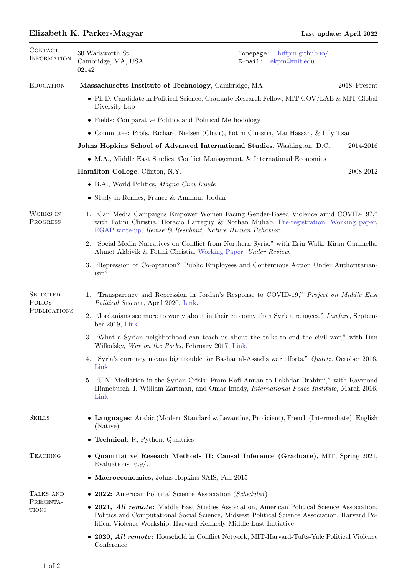## Elizabeth K. Parker-Magyar Last update: April 2022

| CONTACT<br><b>INFORMATION</b>                    | 30 Wadsworth St.<br>Cambridge, MA, USA<br>02142                                                                                                                                                                                                                    | Homepage: biffpm.github.io/<br>$E$ -mail:<br>ekpm@mit.edu                                                                                                       |  |  |
|--------------------------------------------------|--------------------------------------------------------------------------------------------------------------------------------------------------------------------------------------------------------------------------------------------------------------------|-----------------------------------------------------------------------------------------------------------------------------------------------------------------|--|--|
| <b>EDUCATION</b>                                 | Massachusetts Institute of Technology, Cambridge, MA<br>$2018 -$ Present                                                                                                                                                                                           |                                                                                                                                                                 |  |  |
|                                                  | • Ph.D. Candidate in Political Science; Graduate Research Fellow, MIT GOV/LAB & MIT Global<br>Diversity Lab                                                                                                                                                        |                                                                                                                                                                 |  |  |
|                                                  | • Fields: Comparative Politics and Political Methodology                                                                                                                                                                                                           |                                                                                                                                                                 |  |  |
|                                                  | • Committee: Profs. Richard Nielsen (Chair), Fotini Christia, Mai Hassan, & Lily Tsai                                                                                                                                                                              |                                                                                                                                                                 |  |  |
|                                                  | Johns Hopkins School of Advanced International Studies, Washington, D.C<br>2014-2016                                                                                                                                                                               |                                                                                                                                                                 |  |  |
|                                                  | • M.A., Middle East Studies, Conflict Management, & International Economics                                                                                                                                                                                        |                                                                                                                                                                 |  |  |
|                                                  | 2008-2012<br>Hamilton College, Clinton, N.Y.                                                                                                                                                                                                                       |                                                                                                                                                                 |  |  |
|                                                  | • B.A., World Politics, Magna Cum Laude                                                                                                                                                                                                                            |                                                                                                                                                                 |  |  |
|                                                  | • Study in Rennes, France & Amman, Jordan                                                                                                                                                                                                                          |                                                                                                                                                                 |  |  |
| WORKS IN<br>PROGRESS                             | 1. "Can Media Campaigns Empower Women Facing Gender-Based Violence amid COVID-19?,"<br>with Fotini Christia, Horacio Larreguy & Norhan Muhab, Pre-registration, Working paper,<br>EGAP write-up, Revise & Resubmit, Nature Human Behavior.                         |                                                                                                                                                                 |  |  |
|                                                  |                                                                                                                                                                                                                                                                    | 2. "Social Media Narratives on Conflict from Northern Syria," with Erin Walk, Kiran Garimella,<br>Ahmet Akbiyik & Fotini Christia, Working Paper, Under Review. |  |  |
|                                                  | 3. "Repression or Co-optation? Public Employees and Contentious Action Under Authoritarian-<br>ism"                                                                                                                                                                |                                                                                                                                                                 |  |  |
| <b>SELECTED</b><br>POLICY<br><b>PUBLICATIONS</b> | 1. "Transparency and Repression in Jordan's Response to COVID-19," Project on Middle East<br>Political Science, April 2020, Link.                                                                                                                                  |                                                                                                                                                                 |  |  |
|                                                  | 2. "Jordanians see more to worry about in their economy than Syrian refugees," Lawfare, Septem-<br>ber 2019, Link.                                                                                                                                                 |                                                                                                                                                                 |  |  |
|                                                  | 3. "What a Syrian neighborhood can teach us about the talks to end the civil war," with Dan<br>Wilkofsky, War on the Rocks, February 2017, Link.                                                                                                                   |                                                                                                                                                                 |  |  |
|                                                  | 4. "Syria's currency means big trouble for Bashar al-Assad's war efforts," Quartz, October 2016,<br>Link.                                                                                                                                                          |                                                                                                                                                                 |  |  |
|                                                  | 5. "U.N. Mediation in the Syrian Crisis: From Kofi Annan to Lakhdar Brahimi," with Raymond<br>Hinnebusch, I. William Zartman, and Omar Imady, <i>International Peace Institute</i> , March 2016,<br>Link.                                                          |                                                                                                                                                                 |  |  |
| <b>SKILLS</b>                                    | • Languages: Arabic (Modern Standard & Levantine, Proficient), French (Intermediate), English<br>(Native)                                                                                                                                                          |                                                                                                                                                                 |  |  |
|                                                  | • Technical: R, Python, Qualtrics                                                                                                                                                                                                                                  |                                                                                                                                                                 |  |  |
| <b>TEACHING</b>                                  | • Quantitative Reseach Methods II: Causal Inference (Graduate), MIT, Spring 2021,<br>Evaluations: $6.9/7$                                                                                                                                                          |                                                                                                                                                                 |  |  |
|                                                  | • Macroeconomics, Johns Hopkins SAIS, Fall 2015                                                                                                                                                                                                                    |                                                                                                                                                                 |  |  |
| TALKS AND<br>PRESENTA-<br><b>TIONS</b>           | • 2022: American Political Science Association (Scheduled)                                                                                                                                                                                                         |                                                                                                                                                                 |  |  |
|                                                  | • 2021, All remote: Middle East Studies Association, American Political Science Association,<br>Politics and Computational Social Science, Midwest Political Science Association, Harvard Po-<br>litical Violence Workship, Harvard Kennedy Middle East Initiative |                                                                                                                                                                 |  |  |
|                                                  | • 2020, All remote: Household in Conflict Network, MIT-Harvard-Tufts-Yale Political Violence<br>Conference                                                                                                                                                         |                                                                                                                                                                 |  |  |